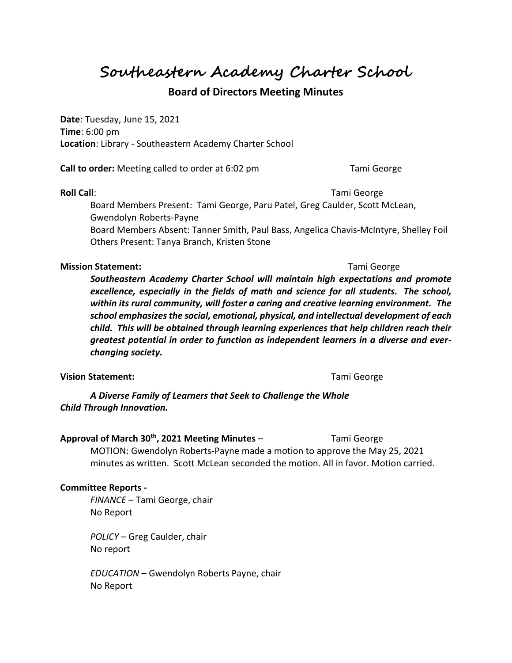**Southeastern Academy Charter School**

# **Board of Directors Meeting Minutes**

**Date**: Tuesday, June 15, 2021 **Time**: 6:00 pm **Location**: Library - Southeastern Academy Charter School

**Call to order:** Meeting called to order at 6:02 pm Tami George

**Roll Call**: Tami George **Roll Call**: Tami George **Tami George** 

Board Members Present: Tami George, Paru Patel, Greg Caulder, Scott McLean, Gwendolyn Roberts-Payne

Board Members Absent: Tanner Smith, Paul Bass, Angelica Chavis-McIntyre, Shelley Foil Others Present: Tanya Branch, Kristen Stone

## **Mission Statement:** Tami George and Tami George and Tami George and Tami George and Tami George and Tami George

*Southeastern Academy Charter School will maintain high expectations and promote excellence, especially in the fields of math and science for all students. The school, within its rural community, will foster a caring and creative learning environment. The school emphasizes the social, emotional, physical, and intellectual development of each child. This will be obtained through learning experiences that help children reach their greatest potential in order to function as independent learners in a diverse and everchanging society.*

## **Vision Statement:** Tami George

*A Diverse Family of Learners that Seek to Challenge the Whole Child Through Innovation.*

## **Approval of March 30th, 2021 Meeting Minutes** – Tami George

MOTION: Gwendolyn Roberts-Payne made a motion to approve the May 25, 2021 minutes as written. Scott McLean seconded the motion. All in favor. Motion carried.

## **Committee Reports -**

*FINANCE* – Tami George, chair No Report

*POLICY* – Greg Caulder, chair No report

*EDUCATION* – Gwendolyn Roberts Payne, chair No Report